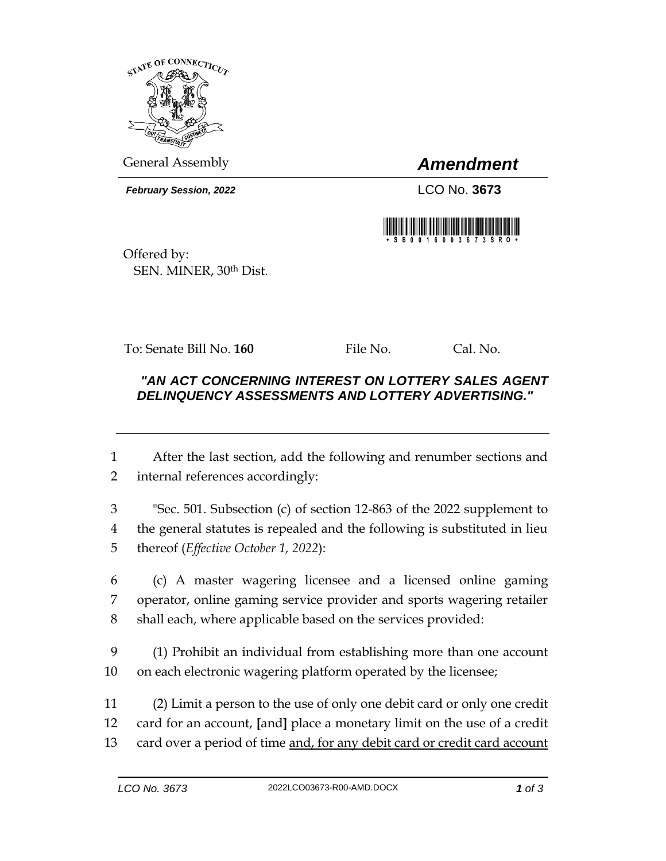

General Assembly *Amendment*

*February Session, 2022* LCO No. **3673**



Offered by: SEN. MINER, 30th Dist.

To: Senate Bill No. **160** File No. Cal. No.

## *"AN ACT CONCERNING INTEREST ON LOTTERY SALES AGENT DELINQUENCY ASSESSMENTS AND LOTTERY ADVERTISING."*

1 After the last section, add the following and renumber sections and 2 internal references accordingly:

3 "Sec. 501. Subsection (c) of section 12-863 of the 2022 supplement to 4 the general statutes is repealed and the following is substituted in lieu 5 thereof (*Effective October 1, 2022*):

6 (c) A master wagering licensee and a licensed online gaming 7 operator, online gaming service provider and sports wagering retailer 8 shall each, where applicable based on the services provided:

9 (1) Prohibit an individual from establishing more than one account 10 on each electronic wagering platform operated by the licensee;

11 (2) Limit a person to the use of only one debit card or only one credit 12 card for an account, **[**and**]** place a monetary limit on the use of a credit 13 card over a period of time and, for any debit card or credit card account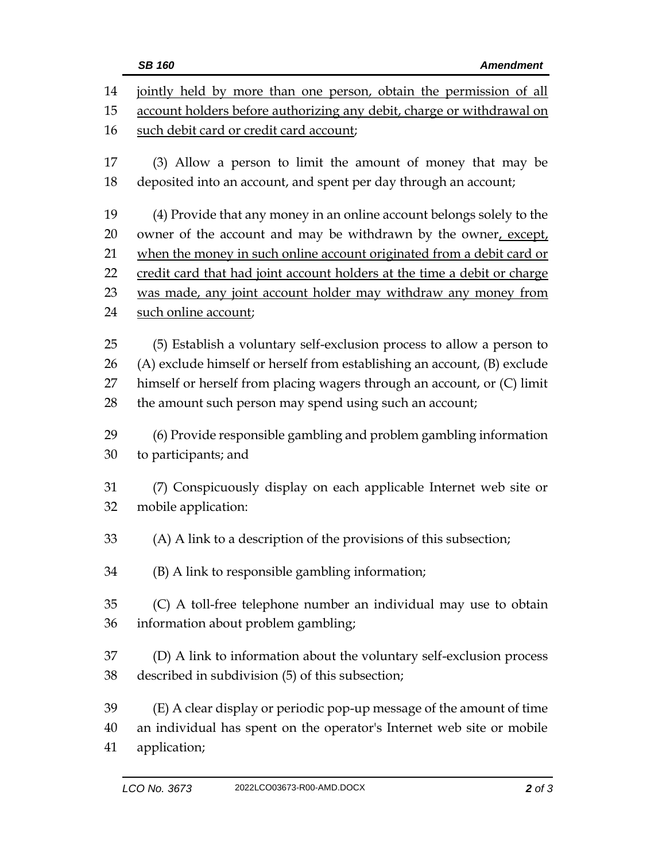|                      | <b>Amendment</b><br><b>SB 160</b>                                                                                                                                                                                                                                                       |
|----------------------|-----------------------------------------------------------------------------------------------------------------------------------------------------------------------------------------------------------------------------------------------------------------------------------------|
| 14<br>15             | jointly held by more than one person, obtain the permission of all<br>account holders before authorizing any debit, charge or withdrawal on                                                                                                                                             |
| 16                   | such debit card or credit card account;                                                                                                                                                                                                                                                 |
| 17<br>18             | (3) Allow a person to limit the amount of money that may be<br>deposited into an account, and spent per day through an account;                                                                                                                                                         |
| 19                   | (4) Provide that any money in an online account belongs solely to the                                                                                                                                                                                                                   |
| 20                   | owner of the account and may be withdrawn by the owner, except,                                                                                                                                                                                                                         |
| 21                   | when the money in such online account originated from a debit card or                                                                                                                                                                                                                   |
| 22                   | credit card that had joint account holders at the time a debit or charge                                                                                                                                                                                                                |
| 23                   | was made, any joint account holder may withdraw any money from                                                                                                                                                                                                                          |
| 24                   | such online account;                                                                                                                                                                                                                                                                    |
| 25<br>26<br>27<br>28 | (5) Establish a voluntary self-exclusion process to allow a person to<br>(A) exclude himself or herself from establishing an account, (B) exclude<br>himself or herself from placing wagers through an account, or (C) limit<br>the amount such person may spend using such an account; |
| 29<br>30             | (6) Provide responsible gambling and problem gambling information<br>to participants; and                                                                                                                                                                                               |
| 31<br>32             | (7) Conspicuously display on each applicable Internet web site or<br>mobile application:                                                                                                                                                                                                |
| 33                   | (A) A link to a description of the provisions of this subsection;                                                                                                                                                                                                                       |
| 34                   | (B) A link to responsible gambling information;                                                                                                                                                                                                                                         |
| 35<br>36             | (C) A toll-free telephone number an individual may use to obtain<br>information about problem gambling;                                                                                                                                                                                 |
| 37<br>38             | (D) A link to information about the voluntary self-exclusion process<br>described in subdivision (5) of this subsection;                                                                                                                                                                |
| 39<br>40<br>41       | (E) A clear display or periodic pop-up message of the amount of time<br>an individual has spent on the operator's Internet web site or mobile<br>application;                                                                                                                           |